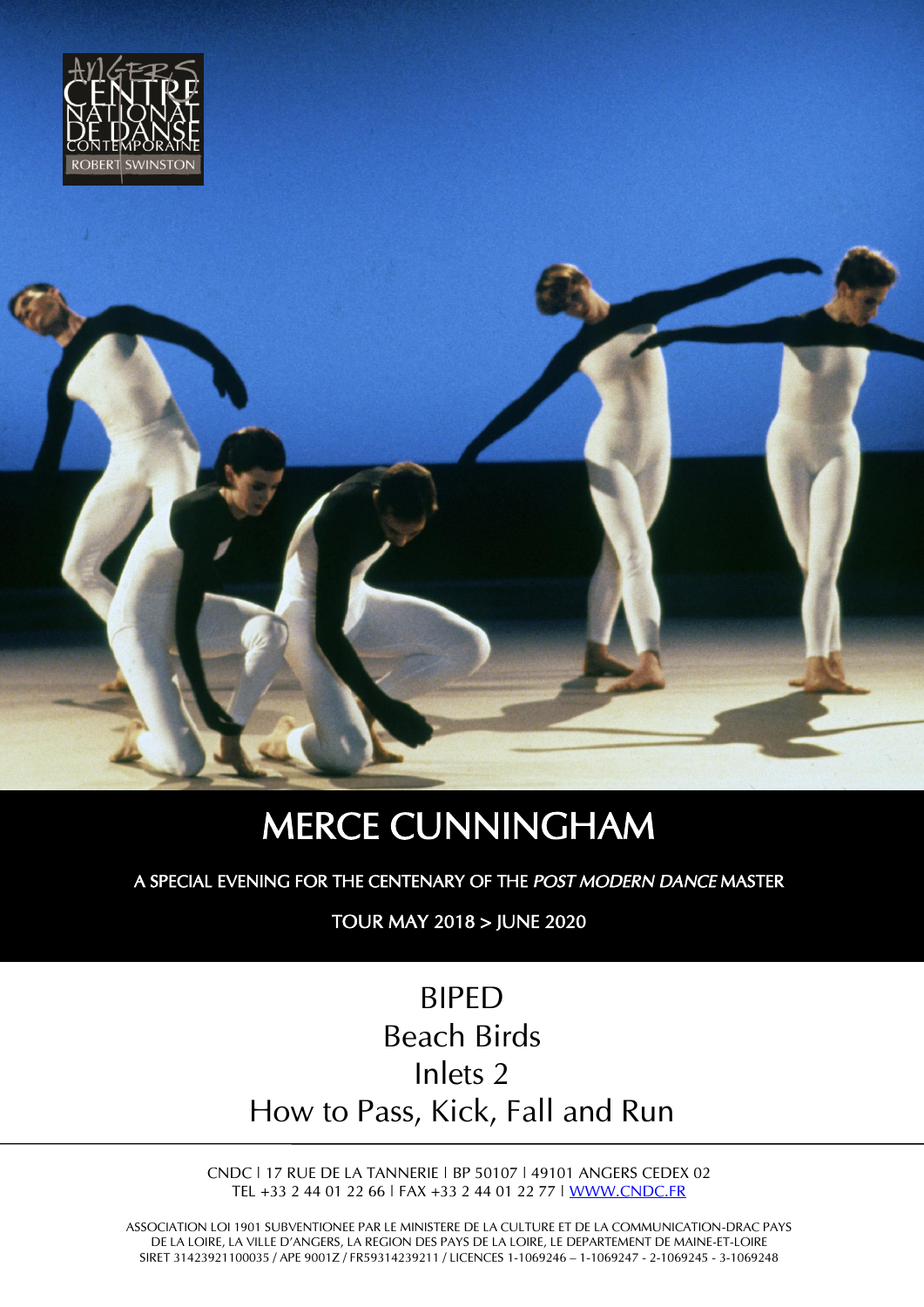



# MERCE CUNNINGHAM

A SPECIAL EVENING FOR THE CENTENARY OF THE *POST MODERN DANCE* MASTER

TOUR MAY 2018 > JUNE 2020

## BIPED Beach Birds Inlets 2 How to Pass, Kick, Fall and Run

CNDC | 17 RUE DE LA TANNERIE | BP 50107 | 49101 ANGERS CEDEX 02 TEL +33 2 44 01 22 66 | FAX +33 2 44 01 22 77 | [WWW.CNDC.FR](http://www.cndc.fr/)

ASSOCIATION LOI 1901 SUBVENTIONEE PAR LE MINISTERE DE LA CULTURE ET DE LA COMMUNICATION-DRAC PAYS DE LA LOIRE, LA VILLE D'ANGERS, LA REGION DES PAYS DE LA LOIRE, LE DEPARTEMENT DE MAINE-ET-LOIRE SIRET 31423921100035 / APE 9001Z / FR59314239211 / LICENCES 1-1069246 – 1-1069247 - 2-1069245 - 3-1069248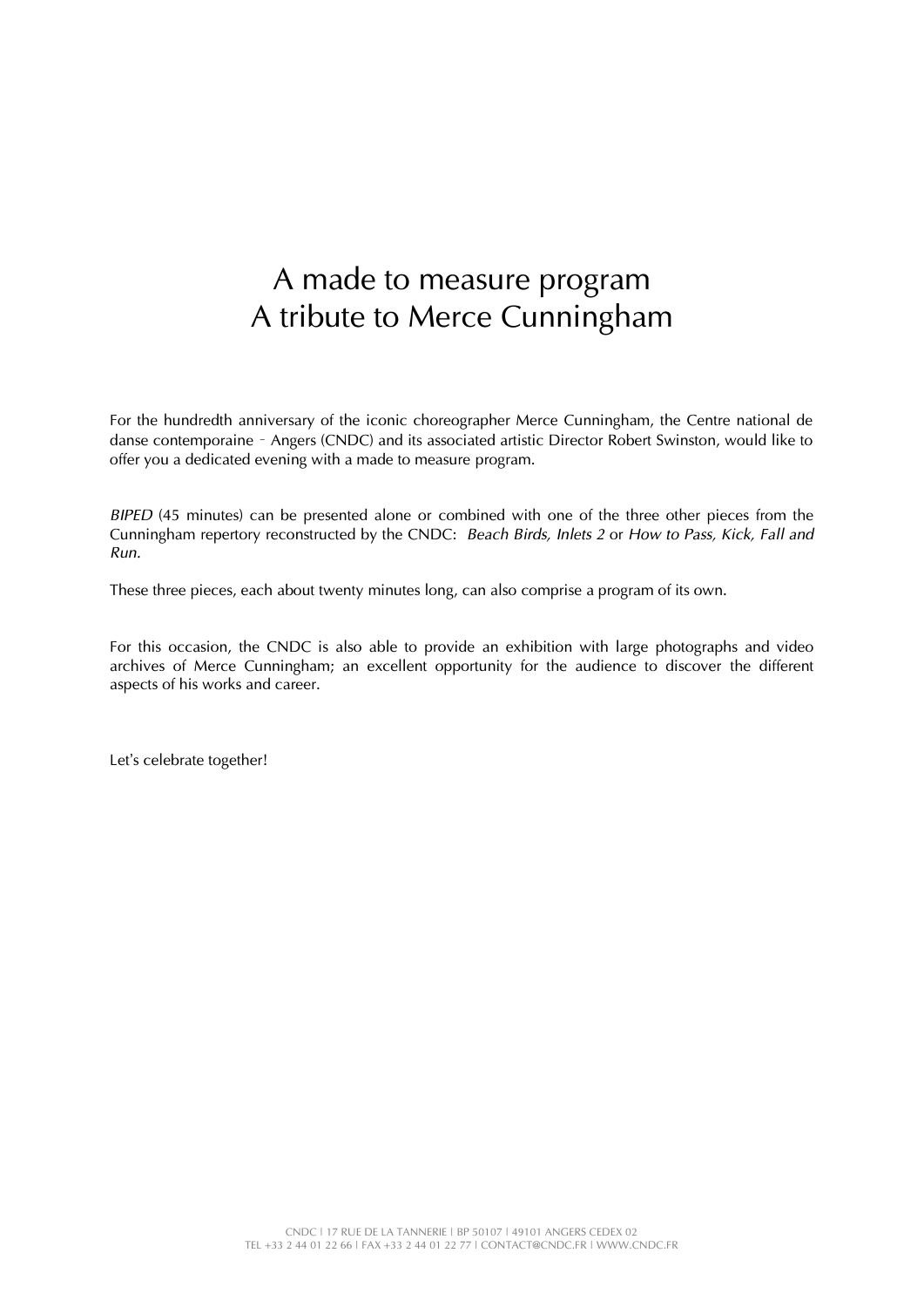### A made to measure program A tribute to Merce Cunningham

For the hundredth anniversary of the iconic choreographer Merce Cunningham, the Centre national de danse contemporaine – Angers (CNDC) and its associated artistic Director Robert Swinston, would like to offer you a dedicated evening with a made to measure program.

*BIPED* (45 minutes) can be presented alone or combined with one of the three other pieces from the Cunningham repertory reconstructed by the CNDC: *Beach Birds, Inlets 2* or *How to Pass, Kick, Fall and Run.*

These three pieces, each about twenty minutes long, can also comprise a program of its own.

For this occasion, the CNDC is also able to provide an exhibition with large photographs and video archives of Merce Cunningham; an excellent opportunity for the audience to discover the different aspects of his works and career.

Let's celebrate together!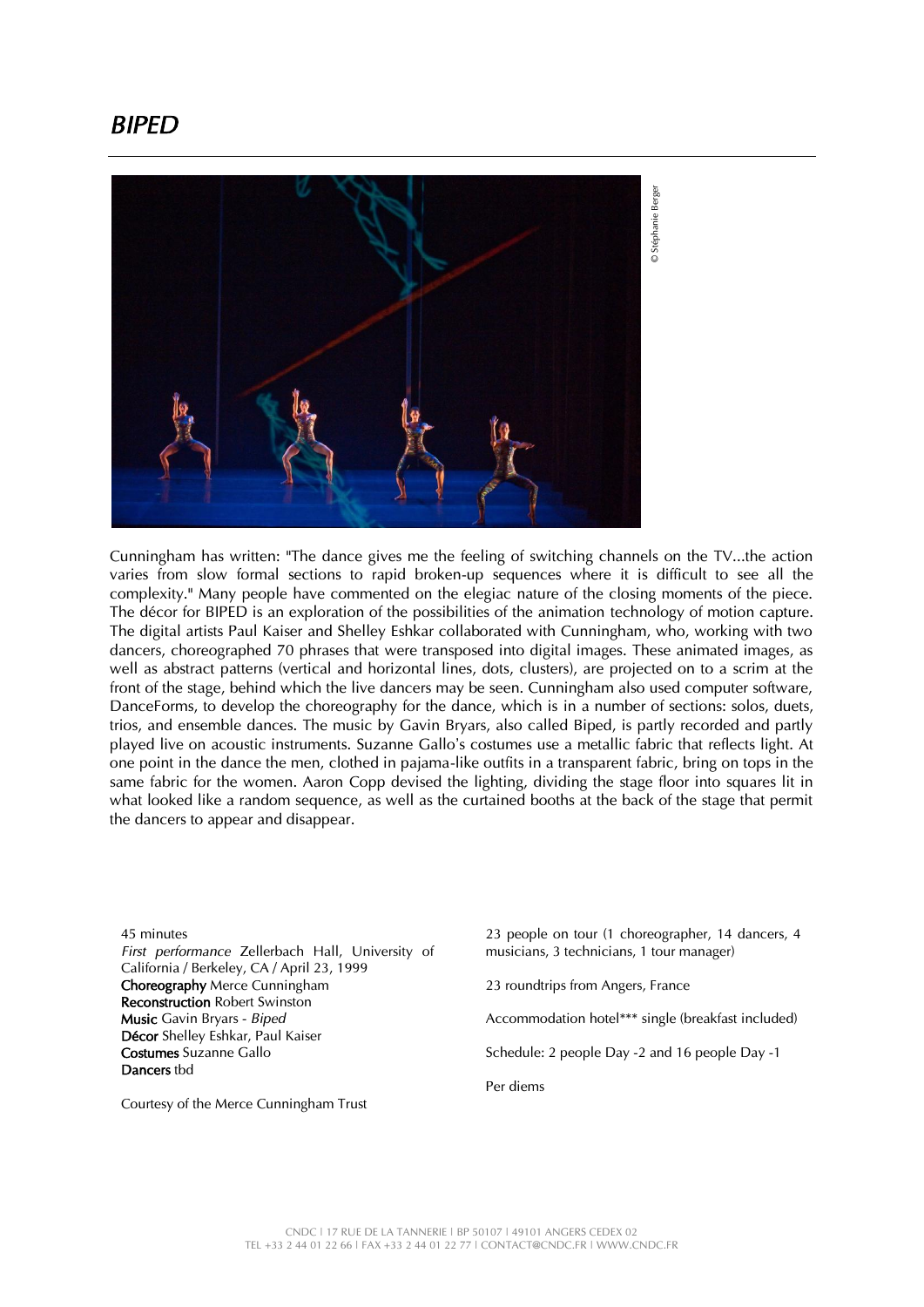#### *BIPED*



Cunningham has written: "The dance gives me the feeling of switching channels on the TV...the action varies from slow formal sections to rapid broken-up sequences where it is difficult to see all the complexity." Many people have commented on the elegiac nature of the closing moments of the piece. The décor for BIPED is an exploration of the possibilities of the animation technology of motion capture. The digital artists Paul Kaiser and Shelley Eshkar collaborated with Cunningham, who, working with two dancers, choreographed 70 phrases that were transposed into digital images. These animated images, as well as abstract patterns (vertical and horizontal lines, dots, clusters), are projected on to a scrim at the front of the stage, behind which the live dancers may be seen. Cunningham also used computer software, DanceForms, to develop the choreography for the dance, which is in a number of sections: solos, duets, trios, and ensemble dances. The music by Gavin Bryars, also called Biped, is partly recorded and partly played live on acoustic instruments. Suzanne Gallo's costumes use a metallic fabric that reflects light. At one point in the dance the men, clothed in pajama-like outfits in a transparent fabric, bring on tops in the same fabric for the women. Aaron Copp devised the lighting, dividing the stage floor into squares lit in what looked like a random sequence, as well as the curtained booths at the back of the stage that permit the dancers to appear and disappear.

45 minutes *First performance* Zellerbach Hall, University of California / Berkeley, CA / April 23, 1999 Choreography Merce Cunningham Reconstruction Robert Swinston Music Gavin Bryars - *Biped* Décor Shelley Eshkar, Paul Kaiser Costumes Suzanne Gallo Dancers tbd

Courtesy of the Merce Cunningham Trust

23 people on tour (1 choreographer, 14 dancers, 4 musicians, 3 technicians, 1 tour manager)

23 roundtrips from Angers, France

Accommodation hotel\*\*\* single (breakfast included)

Schedule: 2 people Day -2 and 16 people Day -1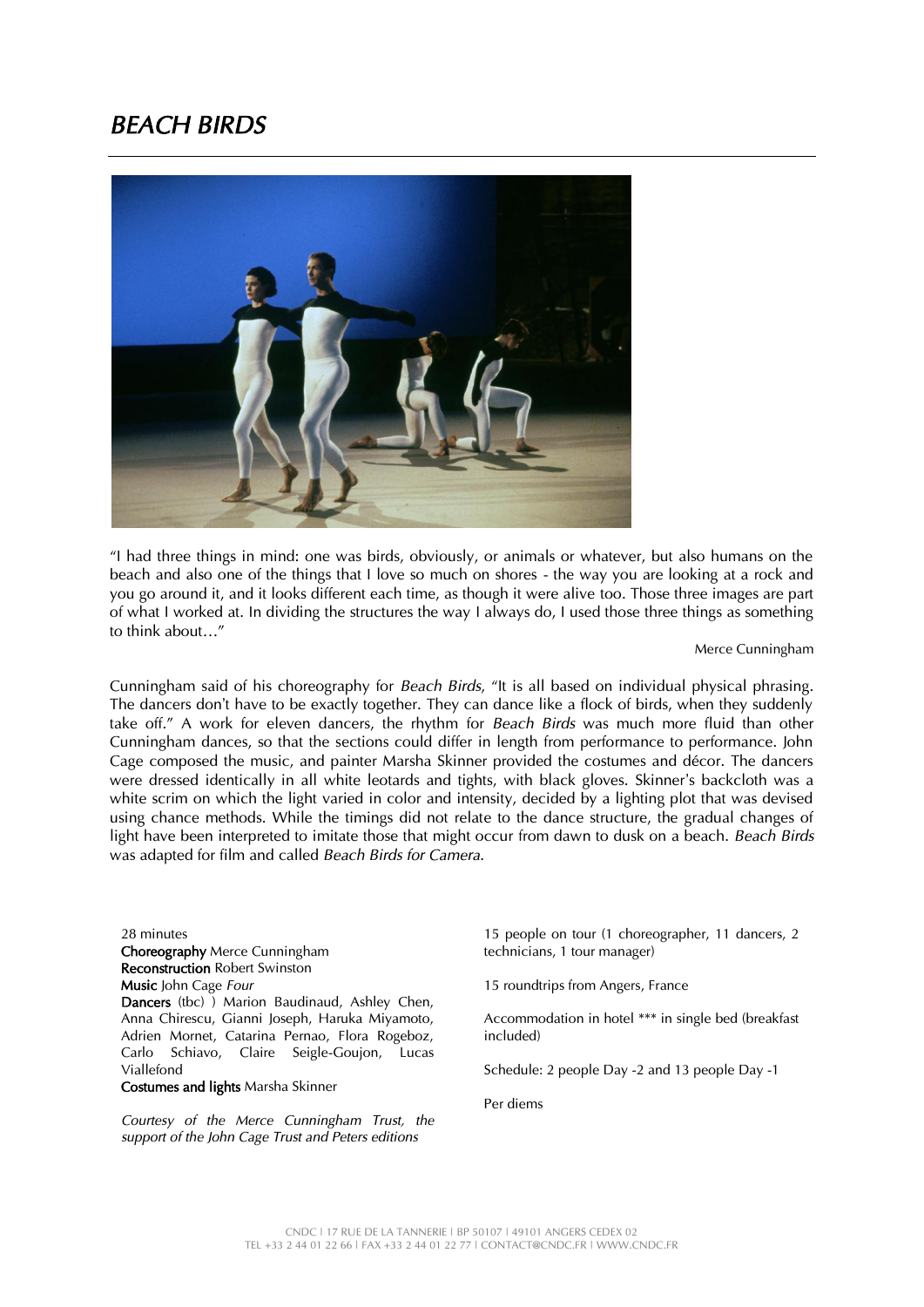#### *BEACH BIRDS*



"I had three things in mind: one was birds, obviously, or animals or whatever, but also humans on the beach and also one of the things that I love so much on shores - the way you are looking at a rock and you go around it, and it looks different each time, as though it were alive too. Those three images are part of what I worked at. In dividing the structures the way I always do, I used those three things as something to think about…"

Merce Cunningham

Cunningham said of his choreography for *Beach Birds*, "It is all based on individual physical phrasing. The dancers don't have to be exactly together. They can dance like a flock of birds, when they suddenly take off." A work for eleven dancers, the rhythm for *Beach Birds* was much more fluid than other Cunningham dances, so that the sections could differ in length from performance to performance. John Cage composed the music, and painter Marsha Skinner provided the costumes and décor. The dancers were dressed identically in all white leotards and tights, with black gloves. Skinner's backcloth was a white scrim on which the light varied in color and intensity, decided by a lighting plot that was devised using chance methods. While the timings did not relate to the dance structure, the gradual changes of light have been interpreted to imitate those that might occur from dawn to dusk on a beach. *Beach Birds* was adapted for film and called *Beach Birds for Camera*.

28 minutes Choreography Merce Cunningham Reconstruction Robert Swinston Music John Cage *Four* Dancers (tbc) ) Marion Baudinaud, Ashley Chen, Anna Chirescu, Gianni Joseph, Haruka Miyamoto, Adrien Mornet, Catarina Pernao, Flora Rogeboz, Carlo Schiavo, Claire Seigle-Goujon, Lucas Viallefond

Costumes and lights Marsha Skinner

*Courtesy of the Merce Cunningham Trust, the support of the John Cage Trust and Peters editions*

15 people on tour (1 choreographer, 11 dancers, 2 technicians, 1 tour manager)

15 roundtrips from Angers, France

Accommodation in hotel \*\*\* in single bed (breakfast included)

Schedule: 2 people Day -2 and 13 people Day -1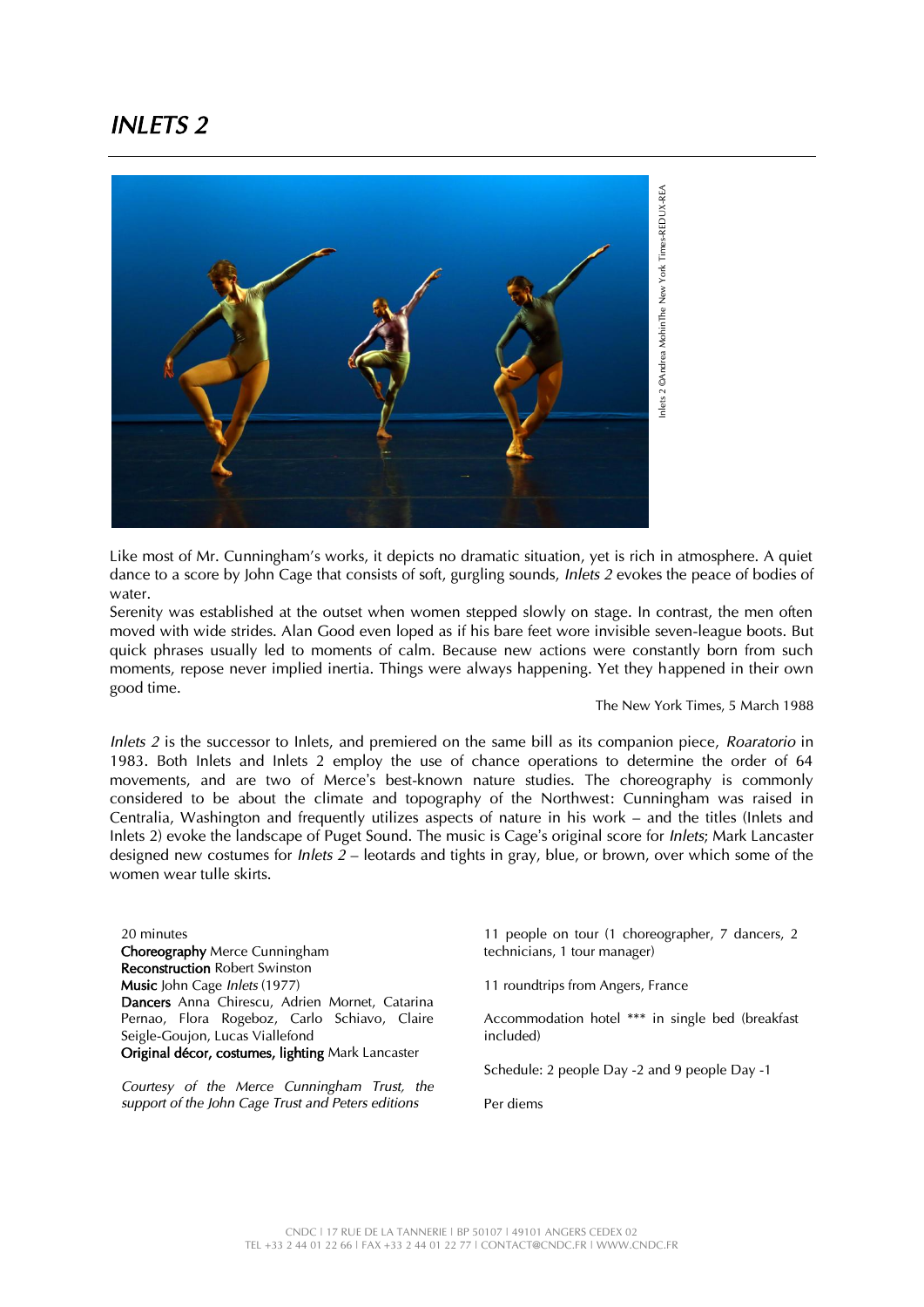#### *INLETS 2*



Like most of Mr. Cunningham's works, it depicts no dramatic situation, yet is rich in atmosphere. A quiet dance to a score by John Cage that consists of soft, gurgling sounds, *Inlets 2* evokes the peace of bodies of water.

Serenity was established at the outset when women stepped slowly on stage. In contrast, the men often moved with wide strides. Alan Good even loped as if his bare feet wore invisible seven-league boots. But quick phrases usually led to moments of calm. Because new actions were constantly born from such moments, repose never implied inertia. Things were always happening. Yet they happened in their own good time.

The New York Times, 5 March 1988

*Inlets 2* is the successor to Inlets, and premiered on the same bill as its companion piece, *Roaratorio* in 1983. Both Inlets and Inlets 2 employ the use of chance operations to determine the order of 64 movements, and are two of Merce's best-known nature studies. The choreography is commonly considered to be about the climate and topography of the Northwest: Cunningham was raised in Centralia, Washington and frequently utilizes aspects of nature in his work – and the titles (Inlets and Inlets 2) evoke the landscape of Puget Sound. The music is Cage's original score for *Inlets*; Mark Lancaster designed new costumes for *Inlets 2* – leotards and tights in gray, blue, or brown, over which some of the women wear tulle skirts.

20 minutes Choreography Merce Cunningham Reconstruction Robert Swinston Music John Cage *Inlets* (1977) Dancers Anna Chirescu, Adrien Mornet, Catarina Pernao, Flora Rogeboz, Carlo Schiavo, Claire Seigle-Goujon, Lucas Viallefond Original décor, costumes, lighting Mark Lancaster

*Courtesy of the Merce Cunningham Trust, the support of the John Cage Trust and Peters editions*

11 people on tour (1 choreographer, 7 dancers, 2 technicians, 1 tour manager)

11 roundtrips from Angers, France

Accommodation hotel \*\*\* in single bed (breakfast included)

Schedule: 2 people Day -2 and 9 people Day -1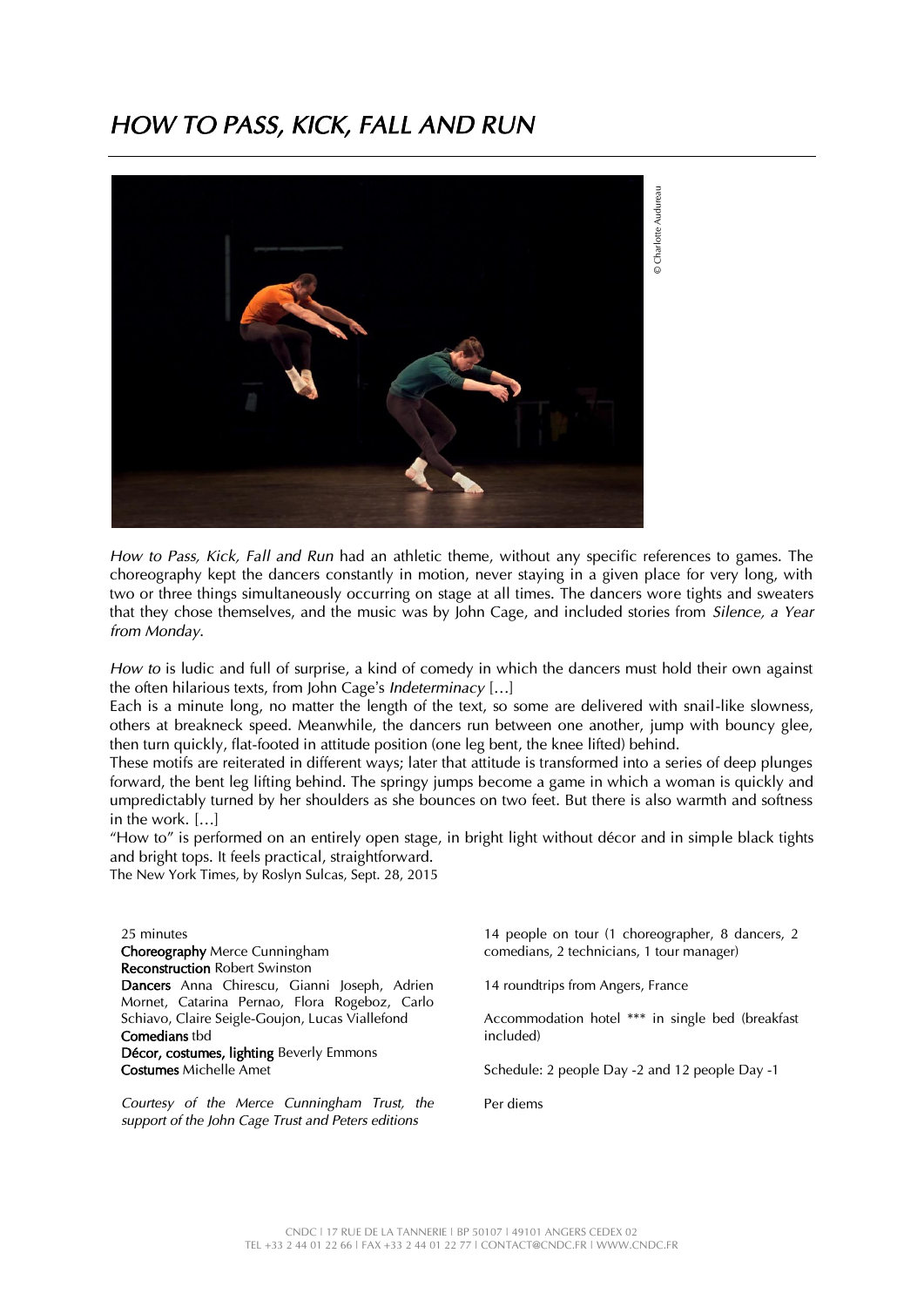#### *HOW TO PASS, KICK, FALL AND RUN*



*How to Pass, Kick, Fall and Run* had an athletic theme, without any specific references to games. The choreography kept the dancers constantly in motion, never staying in a given place for very long, with two or three things simultaneously occurring on stage at all times. The dancers wore tights and sweaters that they chose themselves, and the music was by John Cage, and included stories from *Silence, a Year from Monday*.

*How to* is ludic and full of surprise, a kind of comedy in which the dancers must hold their own against the often hilarious texts, from John Cage's *Indeterminacy* […]

Each is a minute long, no matter the length of the text, so some are delivered with snail-like slowness, others at breakneck speed. Meanwhile, the dancers run between one another, jump with bouncy glee, then turn quickly, flat-footed in attitude position (one leg bent, the knee lifted) behind.

These motifs are reiterated in different ways; later that attitude is transformed into a series of deep plunges forward, the bent leg lifting behind. The springy jumps become a game in which a woman is quickly and umpredictably turned by her shoulders as she bounces on two feet. But there is also warmth and softness in the work. […]

"How to" is performed on an entirely open stage, in bright light without décor and in simple black tights and bright tops. It feels practical, straightforward.

The New York Times, by Roslyn Sulcas, Sept. 28, 2015

25 minutes Choreography Merce Cunningham Reconstruction Robert Swinston Dancers Anna Chirescu, Gianni Joseph, Adrien Mornet, Catarina Pernao, Flora Rogeboz, Carlo Schiavo, Claire Seigle-Goujon, Lucas Viallefond Comedians tbd Décor, costumes, lighting Beverly Emmons Costumes Michelle Amet

*Courtesy of the Merce Cunningham Trust, the support of the John Cage Trust and Peters editions*

14 people on tour (1 choreographer, 8 dancers, 2 comedians, 2 technicians, 1 tour manager)

14 roundtrips from Angers, France

Accommodation hotel \*\*\* in single bed (breakfast included)

Schedule: 2 people Day -2 and 12 people Day -1